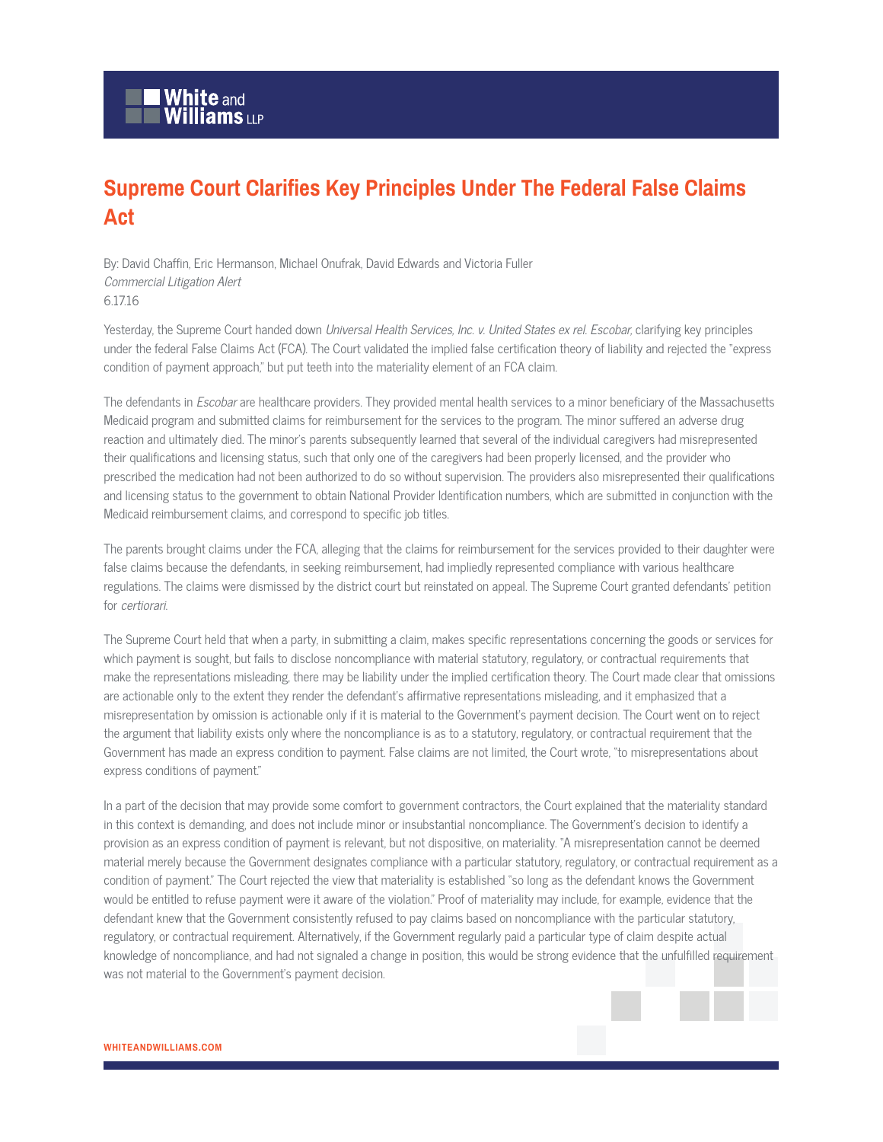## **Supreme Court Clarifies Key Principles Under The Federal False Claims Act**

By: David Chaffin, Eric Hermanson, Michael Onufrak, David Edwards and Victoria Fuller Commercial Litigation Alert 6.17.16

Yesterday, the Supreme Court handed down Universal Health Services, Inc. v. United States ex rel. Escobar, clarifying key principles under the federal False Claims Act (FCA). The Court validated the implied false certification theory of liability and rejected the "express condition of payment approach," but put teeth into the materiality element of an FCA claim.

The defendants in *Escobar* are healthcare providers. They provided mental health services to a minor beneficiary of the Massachusetts Medicaid program and submitted claims for reimbursement for the services to the program. The minor suffered an adverse drug reaction and ultimately died. The minor's parents subsequently learned that several of the individual caregivers had misrepresented their qualifications and licensing status, such that only one of the caregivers had been properly licensed, and the provider who prescribed the medication had not been authorized to do so without supervision. The providers also misrepresented their qualifications and licensing status to the government to obtain National Provider Identification numbers, which are submitted in conjunction with the Medicaid reimbursement claims, and correspond to specific job titles.

The parents brought claims under the FCA, alleging that the claims for reimbursement for the services provided to their daughter were false claims because the defendants, in seeking reimbursement, had impliedly represented compliance with various healthcare regulations. The claims were dismissed by the district court but reinstated on appeal. The Supreme Court granted defendants' petition for certiorari.

The Supreme Court held that when a party, in submitting a claim, makes specific representations concerning the goods or services for which payment is sought, but fails to disclose noncompliance with material statutory, regulatory, or contractual requirements that make the representations misleading, there may be liability under the implied certification theory. The Court made clear that omissions are actionable only to the extent they render the defendant's affirmative representations misleading, and it emphasized that a misrepresentation by omission is actionable only if it is material to the Government's payment decision. The Court went on to reject the argument that liability exists only where the noncompliance is as to a statutory, regulatory, or contractual requirement that the Government has made an express condition to payment. False claims are not limited, the Court wrote, "to misrepresentations about express conditions of payment."

In a part of the decision that may provide some comfort to government contractors, the Court explained that the materiality standard in this context is demanding, and does not include minor or insubstantial noncompliance. The Government's decision to identify a provision as an express condition of payment is relevant, but not dispositive, on materiality. "A misrepresentation cannot be deemed material merely because the Government designates compliance with a particular statutory, regulatory, or contractual requirement as a condition of payment." The Court rejected the view that materiality is established "so long as the defendant knows the Government would be entitled to refuse payment were it aware of the violation." Proof of materiality may include, for example, evidence that the defendant knew that the Government consistently refused to pay claims based on noncompliance with the particular statutory, regulatory, or contractual requirement. Alternatively, if the Government regularly paid a particular type of claim despite actual knowledge of noncompliance, and had not signaled a change in position, this would be strong evidence that the unfulfilled requirement was not material to the Government's payment decision.